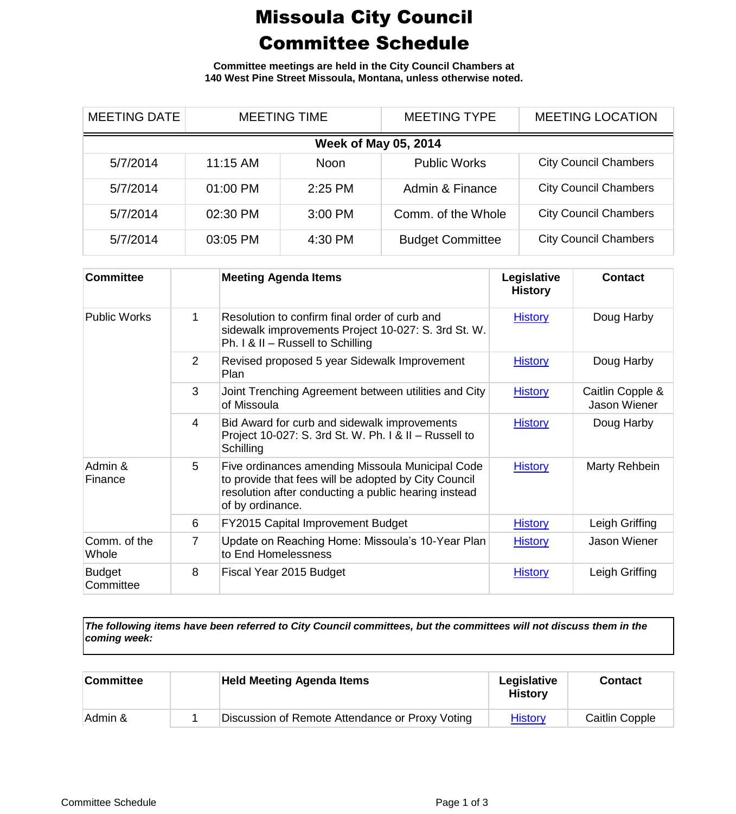## Missoula City Council Committee Schedule

**Committee meetings are held in the City Council Chambers at 140 West Pine Street Missoula, Montana, unless otherwise noted.**

| <b>MEETING DATE</b>         | <b>MEETING TIME</b> |             | <b>MEETING TYPE</b>     | <b>MEETING LOCATION</b>      |  |
|-----------------------------|---------------------|-------------|-------------------------|------------------------------|--|
| <b>Week of May 05, 2014</b> |                     |             |                         |                              |  |
| 5/7/2014                    | 11:15 AM            | <b>Noon</b> | <b>Public Works</b>     | <b>City Council Chambers</b> |  |
| 5/7/2014                    | 01:00 PM            | $2:25$ PM   | Admin & Finance         | <b>City Council Chambers</b> |  |
| 5/7/2014                    | 02:30 PM            | $3:00$ PM   | Comm. of the Whole      | <b>City Council Chambers</b> |  |
| 5/7/2014                    | 03:05 PM            | 4:30 PM     | <b>Budget Committee</b> | <b>City Council Chambers</b> |  |

| <b>Committee</b>           |   | <b>Meeting Agenda Items</b>                                                                                                                                                          | Legislative<br><b>History</b> | <b>Contact</b>                   |
|----------------------------|---|--------------------------------------------------------------------------------------------------------------------------------------------------------------------------------------|-------------------------------|----------------------------------|
| <b>Public Works</b>        | 1 | Resolution to confirm final order of curb and<br>sidewalk improvements Project 10-027: S. 3rd St. W.<br>Ph. I & II - Russell to Schilling                                            | <b>History</b>                | Doug Harby                       |
|                            | 2 | Revised proposed 5 year Sidewalk Improvement<br>Plan                                                                                                                                 | <b>History</b>                | Doug Harby                       |
|                            | 3 | Joint Trenching Agreement between utilities and City<br>of Missoula                                                                                                                  | <b>History</b>                | Caitlin Copple &<br>Jason Wiener |
|                            | 4 | Bid Award for curb and sidewalk improvements<br>Project 10-027: S. 3rd St. W. Ph. I & II - Russell to<br>Schilling                                                                   | <b>History</b>                | Doug Harby                       |
| Admin &<br>Finance         | 5 | Five ordinances amending Missoula Municipal Code<br>to provide that fees will be adopted by City Council<br>resolution after conducting a public hearing instead<br>of by ordinance. | <b>History</b>                | Marty Rehbein                    |
|                            | 6 | <b>FY2015 Capital Improvement Budget</b>                                                                                                                                             | <b>History</b>                | Leigh Griffing                   |
| Comm. of the<br>Whole      | 7 | Update on Reaching Home: Missoula's 10-Year Plan<br>to End Homelessness                                                                                                              | <b>History</b>                | Jason Wiener                     |
| <b>Budget</b><br>Committee | 8 | Fiscal Year 2015 Budget                                                                                                                                                              | <b>History</b>                | Leigh Griffing                   |

*The following items have been referred to City Council committees, but the committees will not discuss them in the coming week:*

| <b>Committee</b> | <b>Held Meeting Agenda Items</b>                | Legislative<br><b>History</b> | <b>Contact</b> |
|------------------|-------------------------------------------------|-------------------------------|----------------|
| Admin &          | Discussion of Remote Attendance or Proxy Voting | <b>History</b>                | Caitlin Copple |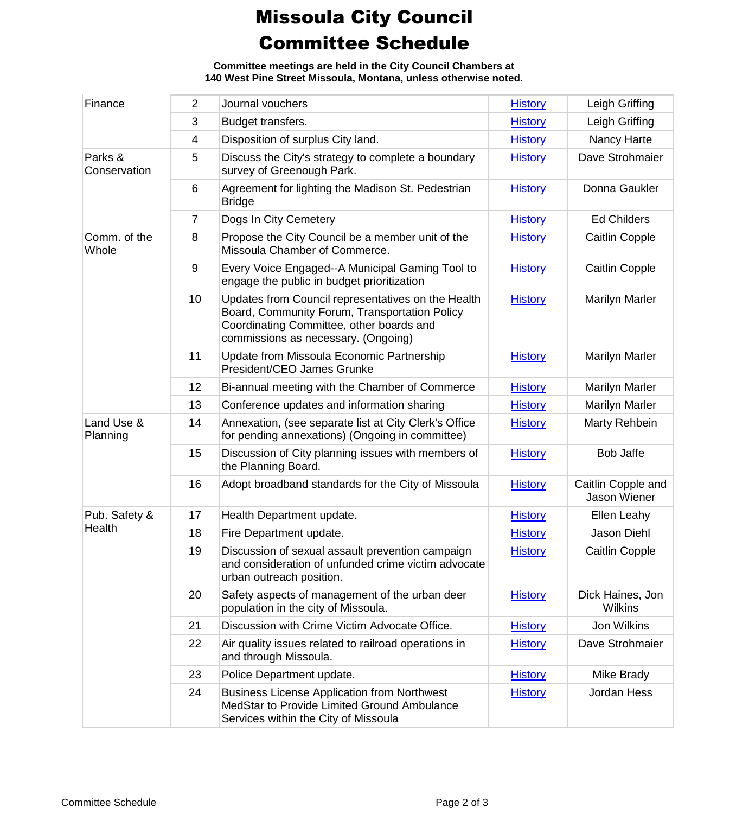## Missoula City Council Committee Schedule

**Committee meetings are held in the City Council Chambers at 140 West Pine Street Missoula, Montana, unless otherwise noted.**

| Finance                 | $\overline{2}$ | Journal vouchers                                                                                                                                                                       | <b>History</b> | Leigh Griffing                     |
|-------------------------|----------------|----------------------------------------------------------------------------------------------------------------------------------------------------------------------------------------|----------------|------------------------------------|
|                         | 3              | Budget transfers.                                                                                                                                                                      | <b>History</b> | Leigh Griffing                     |
|                         | 4              | Disposition of surplus City land.                                                                                                                                                      | <b>History</b> | Nancy Harte                        |
| Parks &<br>Conservation | 5              | Discuss the City's strategy to complete a boundary<br>survey of Greenough Park.                                                                                                        | <b>History</b> | Dave Strohmaier                    |
|                         | 6              | Agreement for lighting the Madison St. Pedestrian<br><b>Bridge</b>                                                                                                                     | <b>History</b> | Donna Gaukler                      |
|                         | $\overline{7}$ | Dogs In City Cemetery                                                                                                                                                                  | <b>History</b> | <b>Ed Childers</b>                 |
| Comm. of the<br>Whole   | 8              | Propose the City Council be a member unit of the<br>Missoula Chamber of Commerce.                                                                                                      | <b>History</b> | <b>Caitlin Copple</b>              |
|                         | 9              | Every Voice Engaged--A Municipal Gaming Tool to<br>engage the public in budget prioritization                                                                                          | <b>History</b> | Caitlin Copple                     |
|                         | 10             | Updates from Council representatives on the Health<br>Board, Community Forum, Transportation Policy<br>Coordinating Committee, other boards and<br>commissions as necessary. (Ongoing) | <b>History</b> | Marilyn Marler                     |
|                         | 11             | Update from Missoula Economic Partnership<br>President/CEO James Grunke                                                                                                                | <b>History</b> | <b>Marilyn Marler</b>              |
|                         | 12             | Bi-annual meeting with the Chamber of Commerce                                                                                                                                         | <b>History</b> | <b>Marilyn Marler</b>              |
|                         | 13             | Conference updates and information sharing                                                                                                                                             | <b>History</b> | <b>Marilyn Marler</b>              |
| Land Use &<br>Planning  | 14             | Annexation, (see separate list at City Clerk's Office<br>for pending annexations) (Ongoing in committee)                                                                               | <b>History</b> | Marty Rehbein                      |
|                         | 15             | Discussion of City planning issues with members of<br>the Planning Board.                                                                                                              | <b>History</b> | <b>Bob Jaffe</b>                   |
|                         | 16             | Adopt broadband standards for the City of Missoula                                                                                                                                     | <b>History</b> | Caitlin Copple and<br>Jason Wiener |
| Pub. Safety &           | 17             | Health Department update.                                                                                                                                                              | <b>History</b> | Ellen Leahy                        |
| Health                  | 18             | Fire Department update.                                                                                                                                                                | <b>History</b> | Jason Diehl                        |
|                         | 19             | Discussion of sexual assault prevention campaign<br>and consideration of unfunded crime victim advocate<br>urban outreach position.                                                    | <b>History</b> | Caitlin Copple                     |
|                         | 20             | Safety aspects of management of the urban deer<br>population in the city of Missoula.                                                                                                  | <b>History</b> | Dick Haines, Jon<br><b>Wilkins</b> |
|                         | 21             | Discussion with Crime Victim Advocate Office.                                                                                                                                          | <b>History</b> | Jon Wilkins                        |
|                         | 22             | Air quality issues related to railroad operations in<br>and through Missoula.                                                                                                          | <b>History</b> | Dave Strohmaier                    |
|                         | 23             | Police Department update.                                                                                                                                                              | <b>History</b> | Mike Brady                         |
|                         | 24             | <b>Business License Application from Northwest</b><br>MedStar to Provide Limited Ground Ambulance<br>Services within the City of Missoula                                              | <b>History</b> | Jordan Hess                        |